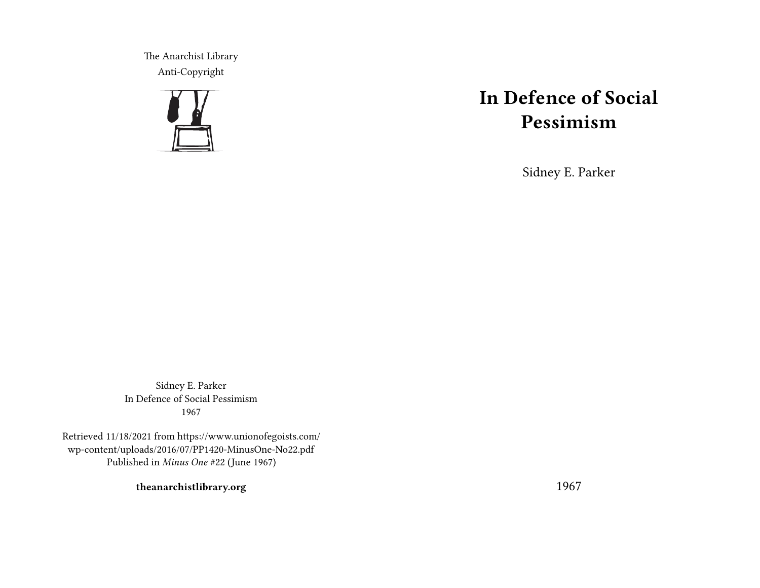The Anarchist Library Anti-Copyright



## **In Defence of Social Pessimism**

Sidney E. Parker

Sidney E. Parker In Defence of Social Pessimism 1967

Retrieved 11/18/2021 from https://www.unionofegoists.com/ wp-content/uploads/2016/07/PP1420-MinusOne-No22.pdf Published in *Minus One* #22 (June 1967)

**theanarchistlibrary.org**

1967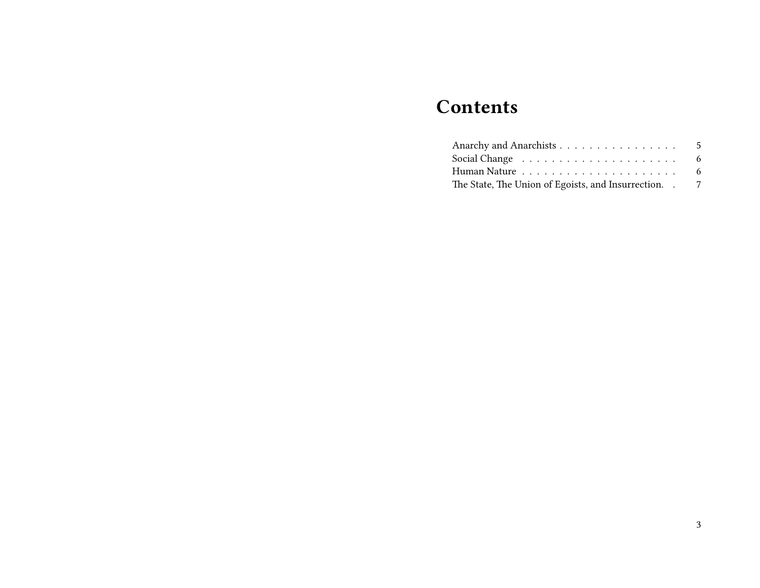# **Contents**

| Anarchy and Anarchists                                 | - 5 |
|--------------------------------------------------------|-----|
|                                                        | 6   |
|                                                        | -6  |
| The State, The Union of Egoists, and Insurrection. . 7 |     |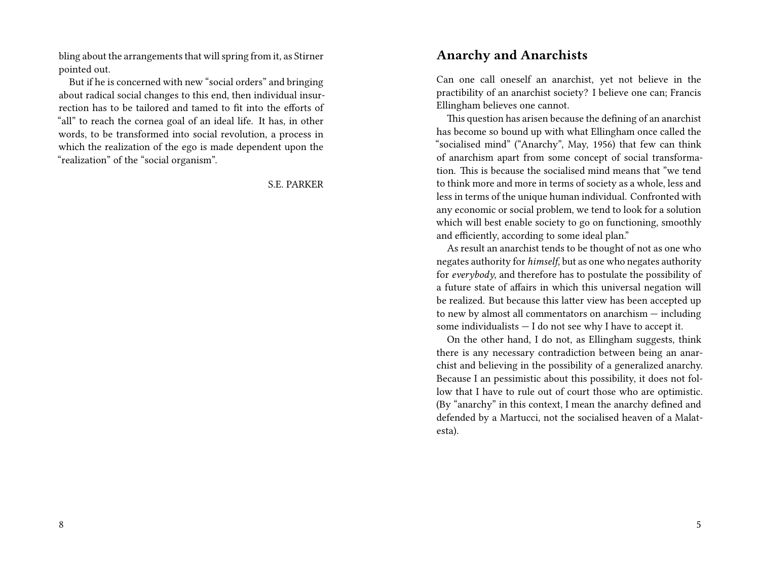bling about the arrangements that will spring from it, as Stirner pointed out.

But if he is concerned with new "social orders" and bringing about radical social changes to this end, then individual insurrection has to be tailored and tamed to fit into the efforts of "all" to reach the cornea goal of an ideal life. It has, in other words, to be transformed into social revolution, a process in which the realization of the ego is made dependent upon the "realization" of the "social organism".

S.E. PARKER

#### **Anarchy and Anarchists**

Can one call oneself an anarchist, yet not believe in the practibility of an anarchist society? I believe one can; Francis Ellingham believes one cannot.

This question has arisen because the defining of an anarchist has become so bound up with what Ellingham once called the "socialised mind" ("Anarchy", May, 1956) that few can think of anarchism apart from some concept of social transformation. This is because the socialised mind means that "we tend to think more and more in terms of society as a whole, less and less in terms of the unique human individual. Confronted with any economic or social problem, we tend to look for a solution which will best enable society to go on functioning, smoothly and efficiently, according to some ideal plan."

As result an anarchist tends to be thought of not as one who negates authority for *himself*, but as one who negates authority for *everybody*, and therefore has to postulate the possibility of a future state of affairs in which this universal negation will be realized. But because this latter view has been accepted up to new by almost all commentators on anarchism — including some individualists  $- I$  do not see why I have to accept it.

On the other hand, I do not, as Ellingham suggests, think there is any necessary contradiction between being an anarchist and believing in the possibility of a generalized anarchy. Because I an pessimistic about this possibility, it does not follow that I have to rule out of court those who are optimistic. (By "anarchy" in this context, I mean the anarchy defined and defended by a Martucci, not the socialised heaven of a Malatesta).